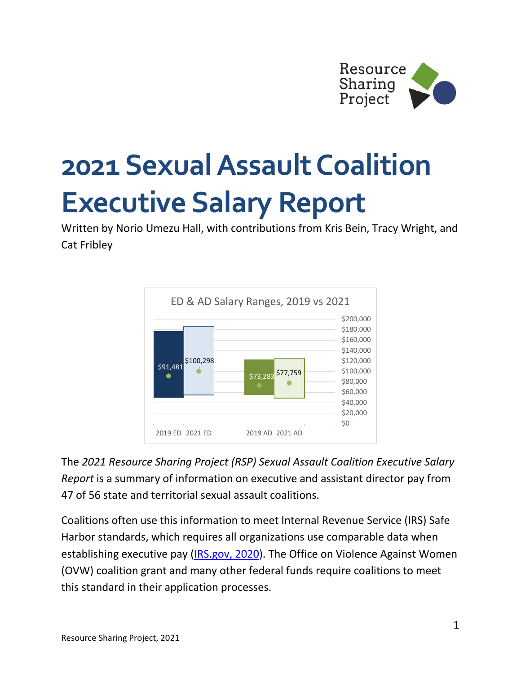

## **2021 Sexual Assault Coalition Executive Salary Report**

Written by Norio Umezu Hall, with contributions from Kris Bein, Tracy Wright, and Cat Fribley



The *2021 Resource Sharing Project (RSP) Sexual Assault Coalition Executive Salary Report* is a summary of information on executive and assistant director pay from 47 of 56 state and territorial sexual assault coalitions.

Coalitions often use this information to meet Internal Revenue Service (IRS) Safe Harbor standards, which requires all organizations use comparable data when establishing executive pay [\(IRS.gov, 2020\)](https://www.irs.gov/charities-non-profits/charitable-organizations/rebuttable-presumption-intermediate-sanctions). The Office on Violence Against Women (OVW) coalition grant and many other federal funds require coalitions to meet this standard in their application processes.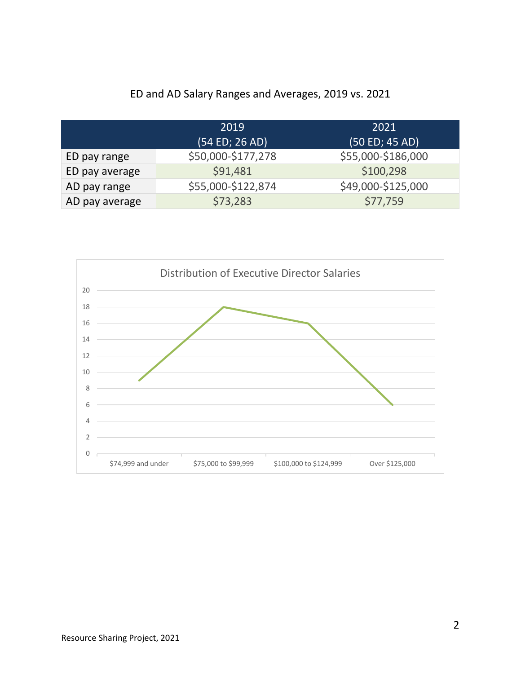## ED and AD Salary Ranges and Averages, 2019 vs. 2021

|                | 2019               | 2021               |
|----------------|--------------------|--------------------|
|                | (54 ED; 26 AD)     | (50 ED; 45 AD)     |
| ED pay range   | \$50,000-\$177,278 | \$55,000-\$186,000 |
| ED pay average | \$91,481           | \$100,298          |
| AD pay range   | \$55,000-\$122,874 | \$49,000-\$125,000 |
| AD pay average | \$73,283           | \$77,759           |

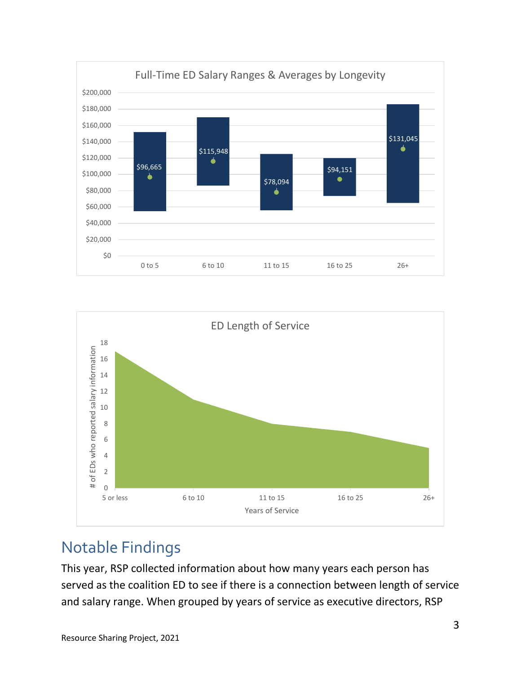



## Notable Findings

This year, RSP collected information about how many years each person has served as the coalition ED to see if there is a connection between length of service and salary range. When grouped by years of service as executive directors, RSP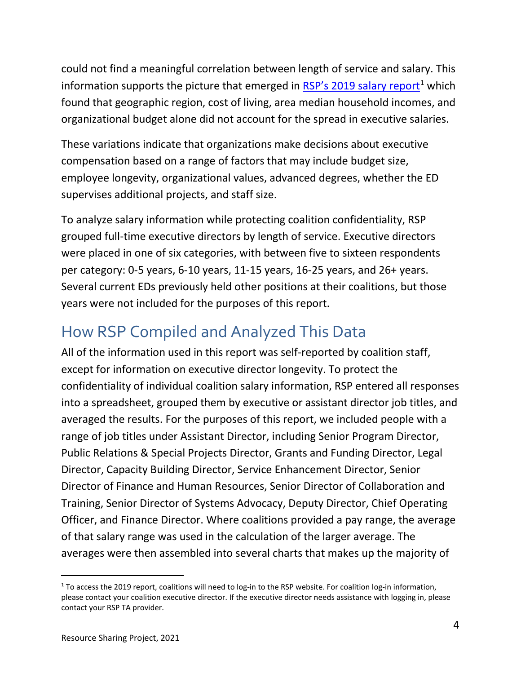could not find a meaningful correlation between length of service and salary. This information supports the picture that emerged in  $RSP's$  20[1](#page-3-0)9 salary report<sup>1</sup> which found that geographic region, cost of living, area median household incomes, and organizational budget alone did not account for the spread in executive salaries.

These variations indicate that organizations make decisions about executive compensation based on a range of factors that may include budget size, employee longevity, organizational values, advanced degrees, whether the ED supervises additional projects, and staff size.

To analyze salary information while protecting coalition confidentiality, RSP grouped full-time executive directors by length of service. Executive directors were placed in one of six categories, with between five to sixteen respondents per category: 0-5 years, 6-10 years, 11-15 years, 16-25 years, and 26+ years. Several current EDs previously held other positions at their coalitions, but those years were not included for the purposes of this report.

## How RSP Compiled and Analyzed This Data

All of the information used in this report was self-reported by coalition staff, except for information on executive director longevity. To protect the confidentiality of individual coalition salary information, RSP entered all responses into a spreadsheet, grouped them by executive or assistant director job titles, and averaged the results. For the purposes of this report, we included people with a range of job titles under Assistant Director, including Senior Program Director, Public Relations & Special Projects Director, Grants and Funding Director, Legal Director, Capacity Building Director, Service Enhancement Director, Senior Director of Finance and Human Resources, Senior Director of Collaboration and Training, Senior Director of Systems Advocacy, Deputy Director, Chief Operating Officer, and Finance Director. Where coalitions provided a pay range, the average of that salary range was used in the calculation of the larger average. The averages were then assembled into several charts that makes up the majority of

<span id="page-3-0"></span> $1$  To access the 2019 report, coalitions will need to log-in to the RSP website. For coalition log-in information, please contact your coalition executive director. If the executive director needs assistance with logging in, please contact your RSP TA provider.